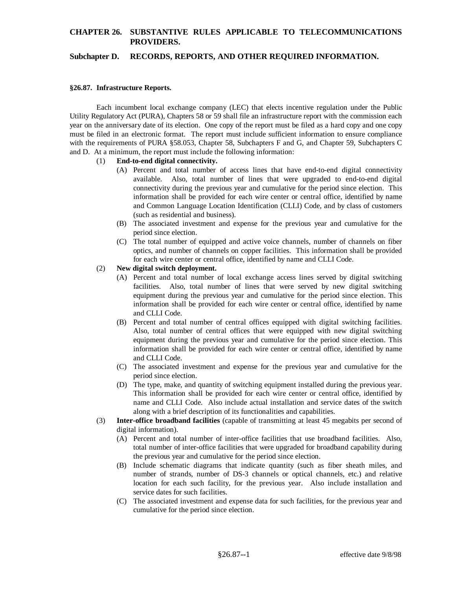# **CHAPTER 26. SUBSTANTIVE RULES APPLICABLE TO TELECOMMUNICATIONS PROVIDERS.**

### **Subchapter D. RECORDS, REPORTS, AND OTHER REQUIRED INFORMATION.**

#### **§26.87. Infrastructure Reports.**

Each incumbent local exchange company (LEC) that elects incentive regulation under the Public Utility Regulatory Act (PURA), Chapters 58 or 59 shall file an infrastructure report with the commission each year on the anniversary date of its election. One copy of the report must be filed as a hard copy and one copy must be filed in an electronic format. The report must include sufficient information to ensure compliance with the requirements of PURA §58.053, Chapter 58, Subchapters F and G, and Chapter 59, Subchapters C and D. At a minimum, the report must include the following information:

### (1) **End-to-end digital connectivity.**

- (A) Percent and total number of access lines that have end-to-end digital connectivity available. Also, total number of lines that were upgraded to end-to-end digital connectivity during the previous year and cumulative for the period since election. This information shall be provided for each wire center or central office, identified by name and Common Language Location Identification (CLLI) Code, and by class of customers (such as residential and business).
- (B) The associated investment and expense for the previous year and cumulative for the period since election.
- (C) The total number of equipped and active voice channels, number of channels on fiber optics, and number of channels on copper facilities. This information shall be provided for each wire center or central office, identified by name and CLLI Code.

### (2) **New digital switch deployment.**

- (A) Percent and total number of local exchange access lines served by digital switching facilities. Also, total number of lines that were served by new digital switching equipment during the previous year and cumulative for the period since election. This information shall be provided for each wire center or central office, identified by name and CLLI Code.
- (B) Percent and total number of central offices equipped with digital switching facilities. Also, total number of central offices that were equipped with new digital switching equipment during the previous year and cumulative for the period since election. This information shall be provided for each wire center or central office, identified by name and CLLI Code.
- (C) The associated investment and expense for the previous year and cumulative for the period since election.
- (D) The type, make, and quantity of switching equipment installed during the previous year. This information shall be provided for each wire center or central office, identified by name and CLLI Code. Also include actual installation and service dates of the switch along with a brief description of its functionalities and capabilities.
- (3) **Inter-office broadband facilities** (capable of transmitting at least 45 megabits per second of digital information).
	- (A) Percent and total number of inter-office facilities that use broadband facilities. Also, total number of inter-office facilities that were upgraded for broadband capability during the previous year and cumulative for the period since election.
	- (B) Include schematic diagrams that indicate quantity (such as fiber sheath miles, and number of strands, number of DS-3 channels or optical channels, etc.) and relative location for each such facility, for the previous year. Also include installation and service dates for such facilities.
	- (C) The associated investment and expense data for such facilities, for the previous year and cumulative for the period since election.